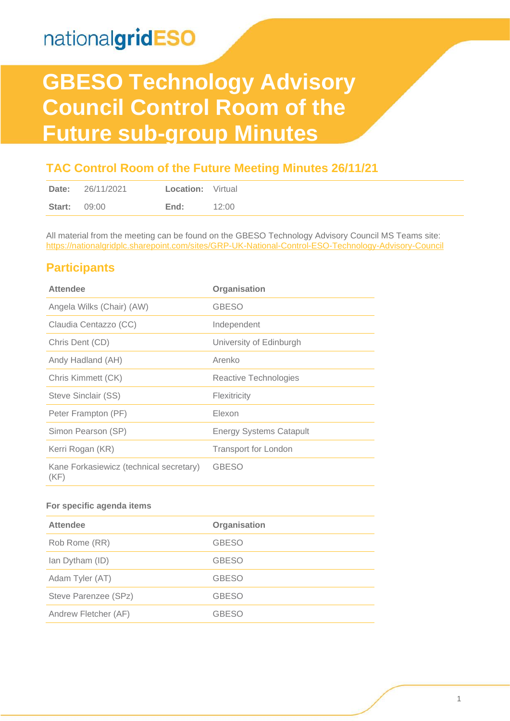# **GBESO Technology Advisory Council Control Room of the Future sub-group Minutes**

### **TAC Control Room of the Future Meeting Minutes 26/11/21**

| Date:               | 26/11/2021 | <b>Location:</b> Virtual |       |
|---------------------|------------|--------------------------|-------|
| <b>Start: 09:00</b> |            | End:                     | 12:00 |

All material from the meeting can be found on the GBESO Technology Advisory Council MS Teams site: <https://nationalgridplc.sharepoint.com/sites/GRP-UK-National-Control-ESO-Technology-Advisory-Council>

### **Participants**

| <b>Attendee</b>                                 | Organisation                   |
|-------------------------------------------------|--------------------------------|
| Angela Wilks (Chair) (AW)                       | <b>GBESO</b>                   |
| Claudia Centazzo (CC)                           | Independent                    |
| Chris Dent (CD)                                 | University of Edinburgh        |
| Andy Hadland (AH)                               | Arenko                         |
| Chris Kimmett (CK)                              | Reactive Technologies          |
| Steve Sinclair (SS)                             | Flexitricity                   |
| Peter Frampton (PF)                             | Elexon                         |
| Simon Pearson (SP)                              | <b>Energy Systems Catapult</b> |
| Kerri Rogan (KR)                                | <b>Transport for London</b>    |
| Kane Forkasiewicz (technical secretary)<br>(KF) | <b>GBESO</b>                   |

#### **For specific agenda items**

| <b>Attendee</b>      | Organisation |  |  |
|----------------------|--------------|--|--|
| Rob Rome (RR)        | <b>GBESO</b> |  |  |
| Ian Dytham (ID)      | <b>GBESO</b> |  |  |
| Adam Tyler (AT)      | <b>GBESO</b> |  |  |
| Steve Parenzee (SPz) | <b>GBESO</b> |  |  |
| Andrew Fletcher (AF) | <b>GBESO</b> |  |  |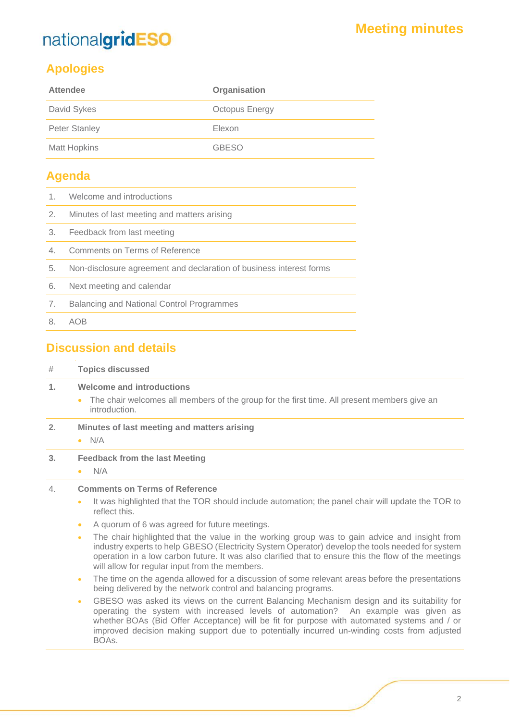## **Apologies**

| <b>Attendee</b>      | Organisation          |
|----------------------|-----------------------|
| David Sykes          | <b>Octopus Energy</b> |
| <b>Peter Stanley</b> | Elexon                |
| <b>Matt Hopkins</b>  | <b>GBESO</b>          |

### **Agenda**

- 1. Welcome and introductions
- 2. Minutes of last meeting and matters arising
- 3. Feedback from last meeting
- 4. Comments on Terms of Reference
- 5. Non-disclosure agreement and declaration of business interest forms
- 6. Next meeting and calendar
- 7. Balancing and National Control Programmes
- 8. AOB

### **Discussion and details**

| # | <b>Topics discussed</b> |
|---|-------------------------|

#### **1. Welcome and introductions**

- The chair welcomes all members of the group for the first time. All present members give an introduction.
- **2. Minutes of last meeting and matters arising**
	- $\bullet$  N/A
- **3. Feedback from the last Meeting**
	- N/A

#### 4. **Comments on Terms of Reference**

- It was highlighted that the TOR should include automation; the panel chair will update the TOR to reflect this.
- A quorum of 6 was agreed for future meetings.
- The chair highlighted that the value in the working group was to gain advice and insight from industry experts to help GBESO (Electricity System Operator) develop the tools needed for system operation in a low carbon future. It was also clarified that to ensure this the flow of the meetings will allow for regular input from the members.
- The time on the agenda allowed for a discussion of some relevant areas before the presentations being delivered by the network control and balancing programs.
- GBESO was asked its views on the current Balancing Mechanism design and its suitability for operating the system with increased levels of automation? An example was given as whether BOAs (Bid Offer Acceptance) will be fit for purpose with automated systems and / or improved decision making support due to potentially incurred un-winding costs from adjusted BOAs.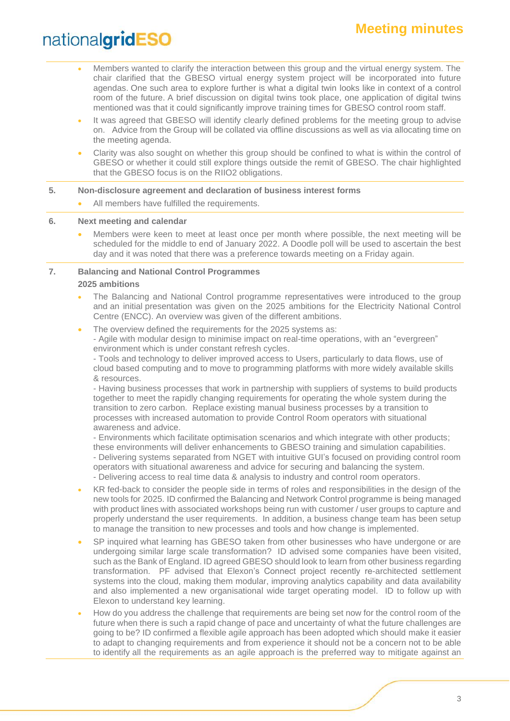- Members wanted to clarify the interaction between this group and the virtual energy system. The chair clarified that the GBESO virtual energy system project will be incorporated into future agendas. One such area to explore further is what a digital twin looks like in context of a control room of the future. A brief discussion on digital twins took place, one application of digital twins mentioned was that it could significantly improve training times for GBESO control room staff.
- It was agreed that GBESO will identify clearly defined problems for the meeting group to advise on. Advice from the Group will be collated via offline discussions as well as via allocating time on the meeting agenda.
- Clarity was also sought on whether this group should be confined to what is within the control of GBESO or whether it could still explore things outside the remit of GBESO. The chair highlighted that the GBESO focus is on the RIIO2 obligations.

#### **5. Non-disclosure agreement and declaration of business interest forms**

All members have fulfilled the requirements.

#### **6. Next meeting and calendar**

• Members were keen to meet at least once per month where possible, the next meeting will be scheduled for the middle to end of January 2022. A Doodle poll will be used to ascertain the best day and it was noted that there was a preference towards meeting on a Friday again.

#### **7. Balancing and National Control Programmes 2025 ambitions**

• The Balancing and National Control programme representatives were introduced to the group and an initial presentation was given on the 2025 ambitions for the Electricity National Control Centre (ENCC). An overview was given of the different ambitions.

The overview defined the requirements for the 2025 systems as:

- Agile with modular design to minimise impact on real-time operations, with an "evergreen" environment which is under constant refresh cycles.

- Tools and technology to deliver improved access to Users, particularly to data flows, use of cloud based computing and to move to programming platforms with more widely available skills & resources.

- Having business processes that work in partnership with suppliers of systems to build products together to meet the rapidly changing requirements for operating the whole system during the transition to zero carbon. Replace existing manual business processes by a transition to processes with increased automation to provide Control Room operators with situational awareness and advice.

- Environments which facilitate optimisation scenarios and which integrate with other products; these environments will deliver enhancements to GBESO training and simulation capabilities.

- Delivering systems separated from NGET with intuitive GUI's focused on providing control room operators with situational awareness and advice for securing and balancing the system.

- Delivering access to real time data & analysis to industry and control room operators.

- KR fed-back to consider the people side in terms of roles and responsibilities in the design of the new tools for 2025. ID confirmed the Balancing and Network Control programme is being managed with product lines with associated workshops being run with customer / user groups to capture and properly understand the user requirements. In addition, a business change team has been setup to manage the transition to new processes and tools and how change is implemented.
- SP inquired what learning has GBESO taken from other businesses who have undergone or are undergoing similar large scale transformation? ID advised some companies have been visited, such as the Bank of England. ID agreed GBESO should look to learn from other business regarding transformation. PF advised that Elexon's Connect project recently re-architected settlement systems into the cloud, making them modular, improving analytics capability and data availability and also implemented a new organisational wide target operating model. ID to follow up with Elexon to understand key learning.
- How do you address the challenge that requirements are being set now for the control room of the future when there is such a rapid change of pace and uncertainty of what the future challenges are going to be? ID confirmed a flexible agile approach has been adopted which should make it easier to adapt to changing requirements and from experience it should not be a concern not to be able to identify all the requirements as an agile approach is the preferred way to mitigate against an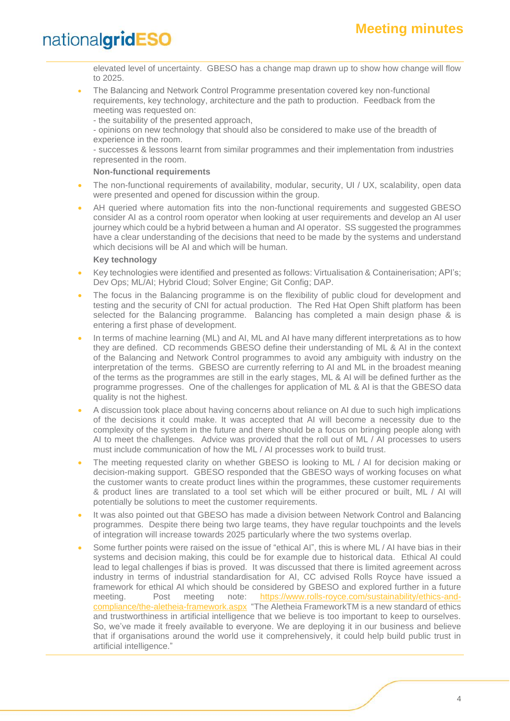elevated level of uncertainty. GBESO has a change map drawn up to show how change will flow to 2025.

- The Balancing and Network Control Programme presentation covered key non-functional requirements, key technology, architecture and the path to production. Feedback from the meeting was requested on:
	- the suitability of the presented approach,
	- opinions on new technology that should also be considered to make use of the breadth of experience in the room.

- successes & lessons learnt from similar programmes and their implementation from industries represented in the room.

#### **Non-functional requirements**

- The non-functional requirements of availability, modular, security, UI / UX, scalability, open data were presented and opened for discussion within the group.
- AH queried where automation fits into the non-functional requirements and suggested GBESO consider AI as a control room operator when looking at user requirements and develop an AI user journey which could be a hybrid between a human and AI operator. SS suggested the programmes have a clear understanding of the decisions that need to be made by the systems and understand which decisions will be AI and which will be human.

#### **Key technology**

- Key technologies were identified and presented as follows: Virtualisation & Containerisation; API's; Dev Ops; ML/AI; Hybrid Cloud; Solver Engine; Git Config; DAP.
- The focus in the Balancing programme is on the flexibility of public cloud for development and testing and the security of CNI for actual production. The Red Hat Open Shift platform has been selected for the Balancing programme. Balancing has completed a main design phase & is entering a first phase of development.
- In terms of machine learning (ML) and AI, ML and AI have many different interpretations as to how they are defined. CD recommends GBESO define their understanding of ML & AI in the context of the Balancing and Network Control programmes to avoid any ambiguity with industry on the interpretation of the terms. GBESO are currently referring to AI and ML in the broadest meaning of the terms as the programmes are still in the early stages, ML & AI will be defined further as the programme progresses. One of the challenges for application of ML & AI is that the GBESO data quality is not the highest.
- A discussion took place about having concerns about reliance on AI due to such high implications of the decisions it could make. It was accepted that AI will become a necessity due to the complexity of the system in the future and there should be a focus on bringing people along with AI to meet the challenges. Advice was provided that the roll out of ML / AI processes to users must include communication of how the ML / AI processes work to build trust.
- The meeting requested clarity on whether GBESO is looking to ML / AI for decision making or decision-making support. GBESO responded that the GBESO ways of working focuses on what the customer wants to create product lines within the programmes, these customer requirements & product lines are translated to a tool set which will be either procured or built, ML / AI will potentially be solutions to meet the customer requirements.
- It was also pointed out that GBESO has made a division between Network Control and Balancing programmes. Despite there being two large teams, they have regular touchpoints and the levels of integration will increase towards 2025 particularly where the two systems overlap.
- Some further points were raised on the issue of "ethical AI", this is where ML / AI have bias in their systems and decision making, this could be for example due to historical data. Ethical AI could lead to legal challenges if bias is proved. It was discussed that there is limited agreement across industry in terms of industrial standardisation for AI, CC advised Rolls Royce have issued a framework for ethical AI which should be considered by GBESO and explored further in a future meeting. Post meeting note: [https://www.rolls-royce.com/sustainability/ethics-and](https://www.rolls-royce.com/sustainability/ethics-and-compliance/the-aletheia-framework.aspx)[compliance/the-aletheia-framework.aspx](https://www.rolls-royce.com/sustainability/ethics-and-compliance/the-aletheia-framework.aspx) "The Aletheia FrameworkTM is a new standard of ethics and trustworthiness in artificial intelligence that we believe is too important to keep to ourselves. So, we've made it freely available to everyone. We are deploying it in our business and believe that if organisations around the world use it comprehensively, it could help build public trust in artificial intelligence."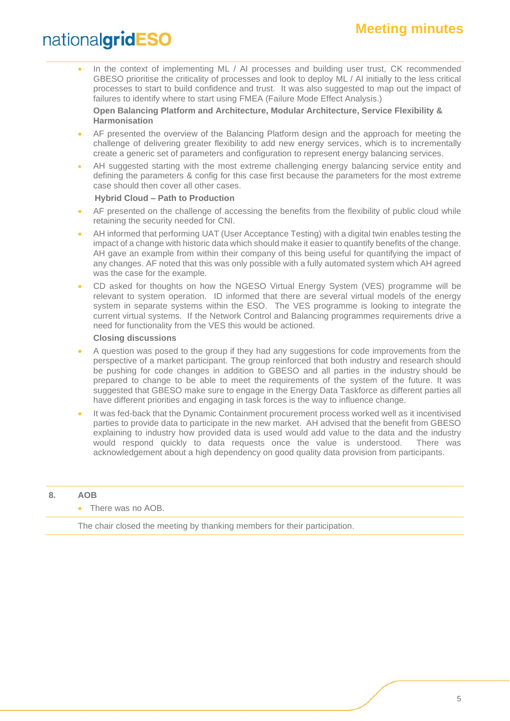## **Meeting minutes**

## nationalgridESO

• In the context of implementing ML / AI processes and building user trust, CK recommended GBESO prioritise the criticality of processes and look to deploy ML / AI initially to the less critical processes to start to build confidence and trust. It was also suggested to map out the impact of failures to identify where to start using FMEA (Failure Mode Effect Analysis.)

**Open Balancing Platform and Architecture, Modular Architecture, Service Flexibility & Harmonisation**

- AF presented the overview of the Balancing Platform design and the approach for meeting the challenge of delivering greater flexibility to add new energy services, which is to incrementally create a generic set of parameters and configuration to represent energy balancing services.
- AH suggested starting with the most extreme challenging energy balancing service entity and defining the parameters & config for this case first because the parameters for the most extreme case should then cover all other cases.

#### **Hybrid Cloud – Path to Production**

- AF presented on the challenge of accessing the benefits from the flexibility of public cloud while retaining the security needed for CNI.
- AH informed that performing UAT (User Acceptance Testing) with a digital twin enables testing the impact of a change with historic data which should make it easier to quantify benefits of the change. AH gave an example from within their company of this being useful for quantifying the impact of any changes. AF noted that this was only possible with a fully automated system which AH agreed was the case for the example.
- CD asked for thoughts on how the NGESO Virtual Energy System (VES) programme will be relevant to system operation. ID informed that there are several virtual models of the energy system in separate systems within the ESO. The VES programme is looking to integrate the current virtual systems. If the Network Control and Balancing programmes requirements drive a need for functionality from the VES this would be actioned.

#### **Closing discussions**

- A question was posed to the group if they had any suggestions for code improvements from the perspective of a market participant. The group reinforced that both industry and research should be pushing for code changes in addition to GBESO and all parties in the industry should be prepared to change to be able to meet the requirements of the system of the future. It was suggested that GBESO make sure to engage in the Energy Data Taskforce as different parties all have different priorities and engaging in task forces is the way to influence change.
- It was fed-back that the Dynamic Containment procurement process worked well as it incentivised parties to provide data to participate in the new market. AH advised that the benefit from GBESO explaining to industry how provided data is used would add value to the data and the industry would respond quickly to data requests once the value is understood. There was acknowledgement about a high dependency on good quality data provision from participants.

#### **8. AOB**

#### • There was no AOB.

The chair closed the meeting by thanking members for their participation.